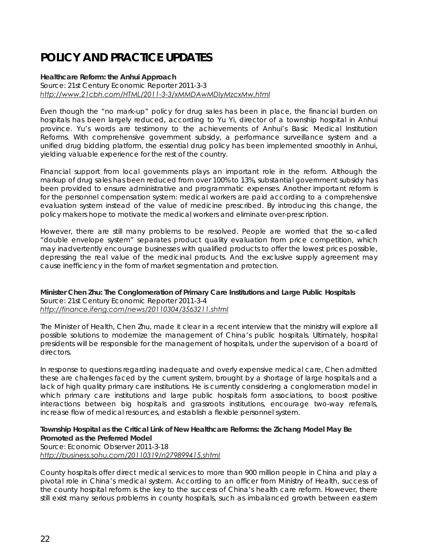# **POLICY AND PRACTICE UPDATES**

**Healthcare Reform: the Anhui Approach**  Source: 21st Century Economic Reporter 2011-3-3 *http://www.21cbh.com/HTML/2011-3-3/xMMDAwMDIyMzcxMw.html*

Even though the "no mark-up" policy for drug sales has been in place, the financial burden on hospitals has been largely reduced, according to Yu Yi, director of a township hospital in Anhui province. Yu's words are testimony to the achievements of Anhui's Basic Medical Institution Reforms. With comprehensive government subsidy, a performance surveillance system and a unified drug bidding platform, the essential drug policy has been implemented smoothly in Anhui, yielding valuable experience for the rest of the country.

Financial support from local governments plays an important role in the reform. Although the markup of drug sales has been reduced from over 100% to 13%, substantial government subsidy has been provided to ensure administrative and programmatic expenses. Another important reform is for the personnel compensation system: medical workers are paid according to a comprehensive evaluation system instead of the value of medicine prescribed. By introducing this change, the policy makers hope to motivate the medical workers and eliminate over-prescription.

However, there are still many problems to be resolved. People are worried that the so-called "double envelope system" separates product quality evaluation from price competition, which may inadvertently encourage businesses with qualified products to offer the lowest prices possible, depressing the real value of the medicinal products. And the exclusive supply agreement may cause inefficiency in the form of market segmentation and protection.

**Minister Chen Zhu: The Conglomeration of Primary Care Institutions and Large Public Hospitals**  Source: 21st Century Economic Reporter 2011-3-4 *http://finance.ifeng.com/news/20110304/3563211.shtml*

The Minister of Health, Chen Zhu, made it clear in a recent interview that the ministry will explore all possible solutions to modernize the management of China's public hospitals. Ultimately, hospital presidents will be responsible for the management of hospitals, under the supervision of a board of directors.

In response to questions regarding inadequate and overly expensive medical care, Chen admitted these are challenges faced by the current system, brought by a shortage of large hospitals and a lack of high quality primary care institutions. He is currently considering a conglomeration model in which primary care institutions and large public hospitals form associations, to boost positive interactions between big hospitals and grassroots institutions, encourage two-way referrals, increase flow of medical resources, and establish a flexible personnel system.

**Township Hospital as the Critical Link of New Healthcare Reforms: the Zichang Model May Be Promoted as the Preferred Model**  Source: Economic Observer 2011-3-18 *http://business.sohu.com/20110319/n279899415.shtml* 

County hospitals offer direct medical services to more than 900 million people in China and play a pivotal role in China's medical system. According to an officer from Ministry of Health, success of the county hospital reform is the key to the success of China's health care reform. However, there still exist many serious problems in county hospitals, such as imbalanced growth between eastern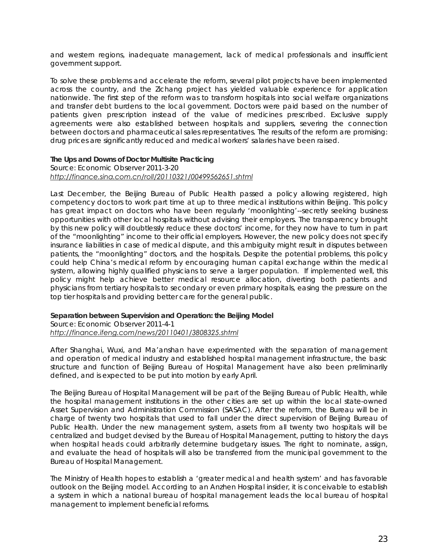and western regions, inadequate management, lack of medical professionals and insufficient government support.

To solve these problems and accelerate the reform, several pilot projects have been implemented across the country, and the Zichang project has yielded valuable experience for application nationwide. The first step of the reform was to transform hospitals into social welfare organizations and transfer debt burdens to the local government. Doctors were paid based on the number of patients given prescription instead of the value of medicines prescribed. Exclusive supply agreements were also established between hospitals and suppliers, severing the connection between doctors and pharmaceutical sales representatives. The results of the reform are promising: drug prices are significantly reduced and medical workers' salaries have been raised.

## **The Ups and Downs of Doctor Multisite Practicing**

#### Source: Economic Observer 2011-3-20 *http://finance.sina.com.cn/roll/20110321/00499562651.shtml*

Last December, the Beijing Bureau of Public Health passed a policy allowing registered, high competency doctors to work part time at up to three medical institutions within Beijing. This policy has great impact on doctors who have been regularly 'moonlighting'--secretly seeking business opportunities with other local hospitals without advising their employers. The transparency brought by this new policy will doubtlessly reduce these doctors' income, for they now have to turn in part of the "moonlighting" income to their official employers. However, the new policy does not specify insurance liabilities in case of medical dispute, and this ambiguity might result in disputes between patients, the "moonlighting" doctors, and the hospitals. Despite the potential problems, this policy could help China's medical reform by encouraging human capital exchange within the medical system, allowing highly qualified physicians to serve a larger population. If implemented well, this policy might help achieve better medical resource allocation, diverting both patients and physicians from tertiary hospitals to secondary or even primary hospitals, easing the pressure on the top tier hospitals and providing better care for the general public.

### **Separation between Supervision and Operation: the Beijing Model**

Source: Economic Observer 2011-4-1

#### *http://finance.ifeng.com/news/20110401/3808325.shtml*

After Shanghai, Wuxi, and Ma'anshan have experimented with the separation of management and operation of medical industry and established hospital management infrastructure, the basic structure and function of Beijing Bureau of Hospital Management have also been preliminarily defined, and is expected to be put into motion by early April.

The Beijing Bureau of Hospital Management will be part of the Beijing Bureau of Public Health, while the hospital management institutions in the other cities are set up within the local state-owned Asset Supervision and Administration Commission (SASAC). After the reform, the Bureau will be in charge of twenty two hospitals that used to fall under the direct supervision of Beijing Bureau of Public Health. Under the new management system, assets from all twenty two hospitals will be centralized and budget devised by the Bureau of Hospital Management, putting to history the days when hospital heads could arbitrarily determine budgetary issues. The right to nominate, assign, and evaluate the head of hospitals will also be transferred from the municipal government to the Bureau of Hospital Management.

The Ministry of Health hopes to establish a 'greater medical and health system' and has favorable outlook on the Beijing model. According to an Anzhen Hospital insider, it is conceivable to establish a system in which a national bureau of hospital management leads the local bureau of hospital management to implement beneficial reforms.